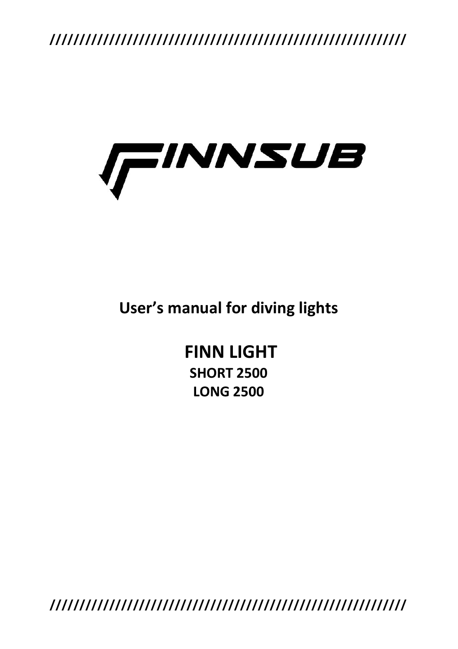

**User's manual for diving lights**

**FINN LIGHT SHORT 2500 LONG 2500**

**////////////////////////////////////////////////////////////**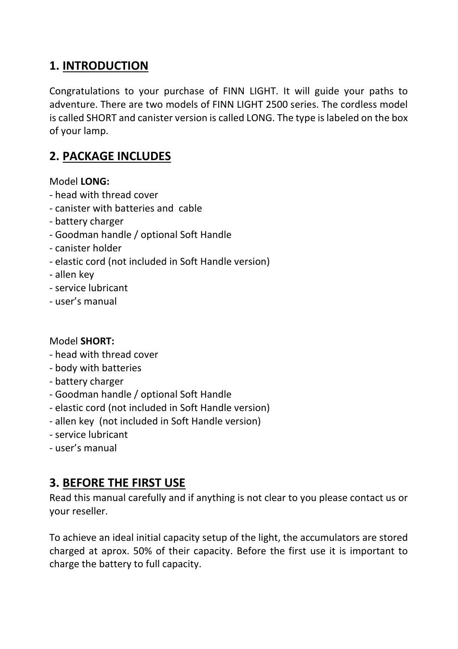## **1. INTRODUCTION**

Congratulations to your purchase of FINN LIGHT. It will guide your paths to adventure. There are two models of FINN LIGHT 2500 series. The cordless model is called SHORT and canister version is called LONG. The type is labeled on the box of your lamp.

# **2. PACKAGE INCLUDES**

#### Model **LONG:**

- head with thread cover
- canister with batteries and cable
- battery charger
- Goodman handle / optional Soft Handle
- canister holder
- elastic cord (not included in Soft Handle version)
- allen key
- service lubricant
- user's manual

#### Model **SHORT:**

- head with thread cover
- body with batteries
- battery charger
- Goodman handle / optional Soft Handle
- elastic cord (not included in Soft Handle version)
- allen key (not included in Soft Handle version)
- service lubricant
- user's manual

#### **3. BEFORE THE FIRST USE**

Read this manual carefully and if anything is not clear to you please contact us or your reseller.

To achieve an ideal initial capacity setup of the light, the accumulators are stored charged at aprox. 50% of their capacity. Before the first use it is important to charge the battery to full capacity.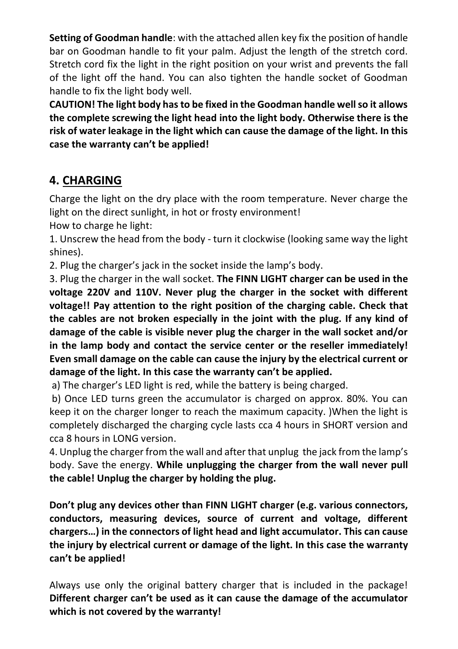**Setting of Goodman handle**: with the attached allen key fix the position of handle bar on Goodman handle to fit your palm. Adjust the length of the stretch cord. Stretch cord fix the light in the right position on your wrist and prevents the fall of the light off the hand. You can also tighten the handle socket of Goodman handle to fix the light body well.

**CAUTION! The light body has to be fixed in the Goodman handle well so it allows the complete screwing the light head into the light body. Otherwise there is the risk of water leakage in the light which can cause the damage of the light. In this case the warranty can't be applied!** 

## **4. CHARGING**

Charge the light on the dry place with the room temperature. Never charge the light on the direct sunlight, in hot or frosty environment!

How to charge he light:

1. Unscrew the head from the body - turn it clockwise (looking same way the light shines).

2. Plug the charger's jack in the socket inside the lamp's body.

3. Plug the charger in the wall socket. **The FINN LIGHT charger can be used in the voltage 220V and 110V. Never plug the charger in the socket with different voltage!! Pay attention to the right position of the charging cable. Check that the cables are not broken especially in the joint with the plug. If any kind of damage of the cable is visible never plug the charger in the wall socket and/or in the lamp body and contact the service center or the reseller immediately! Even small damage on the cable can cause the injury by the electrical current or damage of the light. In this case the warranty can't be applied.**

a) The charger's LED light is red, while the battery is being charged.

b) Once LED turns green the accumulator is charged on approx. 80%. You can keep it on the charger longer to reach the maximum capacity. )When the light is completely discharged the charging cycle lasts cca 4 hours in SHORT version and cca 8 hours in LONG version.

4. Unplug the charger from the wall and after that unplug the jack from the lamp's body. Save the energy. **While unplugging the charger from the wall never pull the cable! Unplug the charger by holding the plug.**

**Don't plug any devices other than FINN LIGHT charger (e.g. various connectors, conductors, measuring devices, source of current and voltage, different chargers…) in the connectors of light head and light accumulator. This can cause the injury by electrical current or damage of the light. In this case the warranty can't be applied!** 

Always use only the original battery charger that is included in the package! **Different charger can't be used as it can cause the damage of the accumulator which is not covered by the warranty!**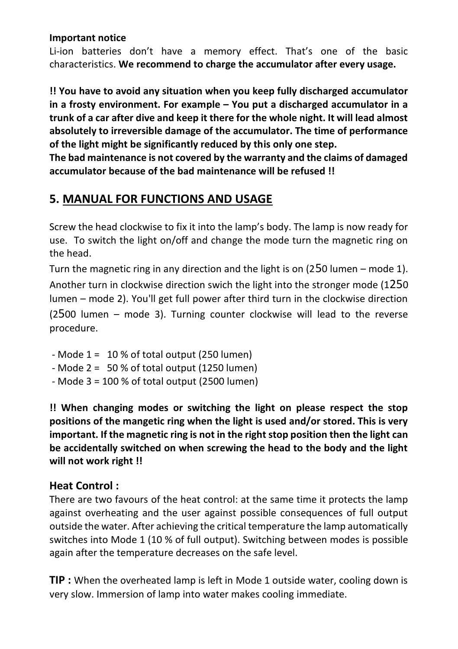#### **Important notice**

Li-ion batteries don't have a memory effect. That's one of the basic characteristics. **We recommend to charge the accumulator after every usage.**

**!! You have to avoid any situation when you keep fully discharged accumulator in a frosty environment. For example – You put a discharged accumulator in a trunk of a car after dive and keep it there for the whole night. It will lead almost absolutely to irreversible damage of the accumulator. The time of performance of the light might be significantly reduced by this only one step.**

**The bad maintenance is not covered by the warranty and the claims of damaged accumulator because of the bad maintenance will be refused !!**

## **5. MANUAL FOR FUNCTIONS AND USAGE**

Screw the head clockwise to fix it into the lamp's body. The lamp is now ready for use. To switch the light on/off and change the mode turn the magnetic ring on the head.

Turn the magnetic ring in any direction and the light is on (250 lumen – mode 1). Another turn in clockwise direction swich the light into the stronger mode (1250 lumen – mode 2). You'll get full power after third turn in the clockwise direction (2500 lumen – mode 3). Turning counter clockwise will lead to the reverse procedure.

- Mode  $1 = 10 %$  of total output (250 lumen)
- Mode 2 = 50 % of total output (1250 lumen)
- Mode 3 = 100 % of total output (2500 lumen)

**!! When changing modes or switching the light on please respect the stop positions of the mangetic ring when the light is used and/or stored. This is very important. If the magnetic ring is not in the right stop position then the light can be accidentally switched on when screwing the head to the body and the light will not work right !!**

#### **Heat Control :**

There are two favours of the heat control: at the same time it protects the lamp against overheating and the user against possible consequences of full output outside the water. After achieving the critical temperature the lamp automatically switches into Mode 1 (10 % of full output). Switching between modes is possible again after the temperature decreases on the safe level.

**TIP :** When the overheated lamp is left in Mode 1 outside water, cooling down is very slow. Immersion of lamp into water makes cooling immediate.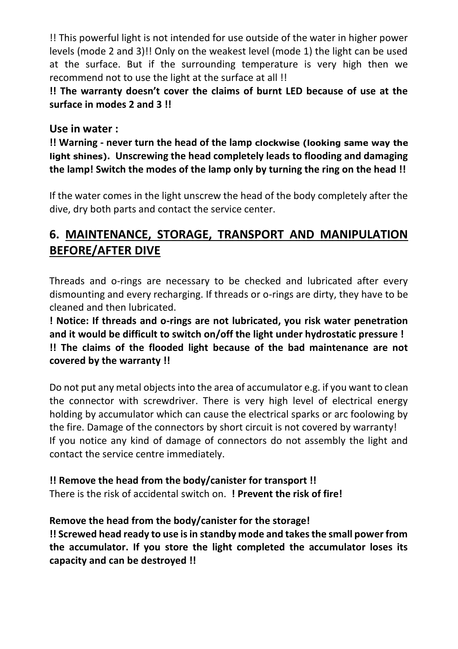!! This powerful light is not intended for use outside of the water in higher power levels (mode 2 and 3)!! Only on the weakest level (mode 1) the light can be used at the surface. But if the surrounding temperature is very high then we recommend not to use the light at the surface at all !!

**!! The warranty doesn't cover the claims of burnt LED because of use at the surface in modes 2 and 3 !!**

**Use in water :** 

**!! Warning - never turn the head of the lamp clockwise (looking same way the light shines). Unscrewing the head completely leads to flooding and damaging the lamp! Switch the modes of the lamp only by turning the ring on the head !!**

If the water comes in the light unscrew the head of the body completely after the dive, dry both parts and contact the service center.

# **6. MAINTENANCE, STORAGE, TRANSPORT AND MANIPULATION BEFORE/AFTER DIVE**

Threads and o-rings are necessary to be checked and lubricated after every dismounting and every recharging. If threads or o-rings are dirty, they have to be cleaned and then lubricated.

**! Notice: If threads and o-rings are not lubricated, you risk water penetration and it would be difficult to switch on/off the light under hydrostatic pressure ! !! The claims of the flooded light because of the bad maintenance are not covered by the warranty !!**

Do not put any metal objects into the area of accumulator e.g. if you want to clean the connector with screwdriver. There is very high level of electrical energy holding by accumulator which can cause the electrical sparks or arc foolowing by the fire. Damage of the connectors by short circuit is not covered by warranty! If you notice any kind of damage of connectors do not assembly the light and contact the service centre immediately.

**!! Remove the head from the body/canister for transport !!** There is the risk of accidental switch on. **! Prevent the risk of fire!**

**Remove the head from the body/canister for the storage! !! Screwed head ready to use is in standby mode and takes the small power from the accumulator. If you store the light completed the accumulator loses its capacity and can be destroyed !!**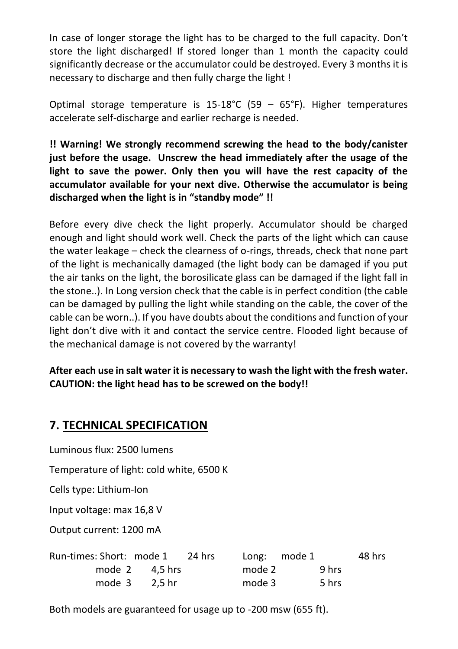In case of longer storage the light has to be charged to the full capacity. Don't store the light discharged! If stored longer than 1 month the capacity could significantly decrease or the accumulator could be destroyed. Every 3 months it is necessary to discharge and then fully charge the light !

Optimal storage temperature is  $15-18^{\circ}C$  (59 – 65°F). Higher temperatures accelerate self-discharge and earlier recharge is needed.

**!! Warning! We strongly recommend screwing the head to the body/canister just before the usage. Unscrew the head immediately after the usage of the light to save the power. Only then you will have the rest capacity of the accumulator available for your next dive. Otherwise the accumulator is being discharged when the light is in "standby mode" !!**

Before every dive check the light properly. Accumulator should be charged enough and light should work well. Check the parts of the light which can cause the water leakage – check the clearness of o-rings, threads, check that none part of the light is mechanically damaged (the light body can be damaged if you put the air tanks on the light, the borosilicate glass can be damaged if the light fall in the stone..). In Long version check that the cable is in perfect condition (the cable can be damaged by pulling the light while standing on the cable, the cover of the cable can be worn..). If you have doubts about the conditions and function of your light don't dive with it and contact the service centre. Flooded light because of the mechanical damage is not covered by the warranty!

**After each use in salt water it is necessary to wash the light with the fresh water. CAUTION: the light head has to be screwed on the body!!**

#### **7. TECHNICAL SPECIFICATION**

Luminous flux: 2500 lumens

Temperature of light: cold white, 6500 K

Cells type: Lithium-Ion

Input voltage: max 16,8 V

Output current: 1200 mA

| Run-times: Short: mode 1 24 hrs |                  |        | Long: mode 1 | 48 hrs |
|---------------------------------|------------------|--------|--------------|--------|
|                                 | mode $2$ 4.5 hrs | mode 2 | 9 hrs        |        |
|                                 | mode $3$ 2.5 hr  | mode 3 | 5 hrs        |        |

Both models are guaranteed for usage up to -200 msw (655 ft).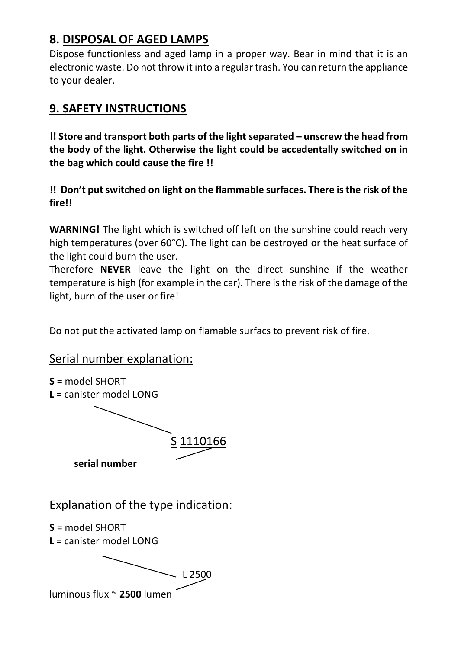## **8. DISPOSAL OF AGED LAMPS**

Dispose functionless and aged lamp in a proper way. Bear in mind that it is an electronic waste. Do not throw it into a regular trash. You can return the appliance to your dealer.

#### **9. SAFETY INSTRUCTIONS**

**!! Store and transport both parts of the light separated – unscrew the head from the body of the light. Otherwise the light could be accedentally switched on in the bag which could cause the fire !!**

**!! Don't put switched on light on the flammable surfaces. There is the risk of the fire!!**

**WARNING!** The light which is switched off left on the sunshine could reach very high temperatures (over 60°C). The light can be destroyed or the heat surface of the light could burn the user.

Therefore **NEVER** leave the light on the direct sunshine if the weather temperature is high (for example in the car). There is the risk of the damage of the light, burn of the user or fire!

Do not put the activated lamp on flamable surfacs to prevent risk of fire.

#### Serial number explanation:

**S** = model SHORT **L** = canister model LONG S 1110166 **serial number** Explanation of the type indication: **S** = model SHORT **L** = canister model LONG L 2500 luminous flux ~ **2500** lumen